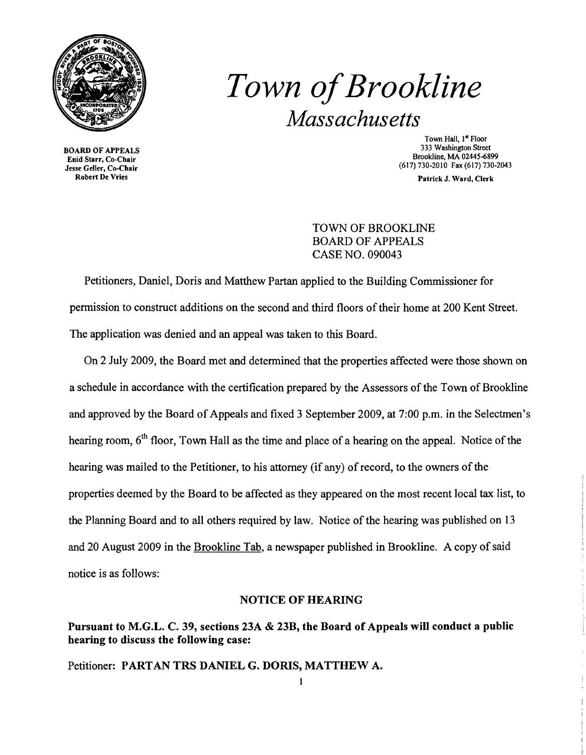

Enid Starr, Co-Chair<br>Jesse Geller, Co-Chair  $\frac{1}{100}$  Section Co-Chair (617) 730-2010 Fax (617) 730-2013<br>  $\frac{1}{100}$  Factor Co-Chair (617) 730-2043<br>  $\frac{1}{100}$  Patrick J Ward Clerk

## *Town ofBrookline Massachusetts*

Town Hall, 1<sup>st</sup> Floor<br>333 Washington Street 333 Washington Street 333 Washington Street<br>Brief Stars Co. Chair

Patrick J. Ward, Clerk

TOWN OF BROOKLINE BOARD OF APPEALS CASE NO. 090043

Petitioners, Daniel, Doris and Matthew Partan applied to the Building Commissioner for permission to construct additions on the second and third floors of their home at 200 Kent Street. The application was denied and an appeal was taken to this Board.

On 2 July 2009, the Board met and determined that the properties affected were those shown on a schedule in accordance with the certification prepared by the Assessors of the Town of Brookline and approved by the Board of Appeals and fixed 3 September 2009, at 7:00 p.m. in the Selectmen's hearing room, 6<sup>th</sup> floor, Town Hall as the time and place of a hearing on the appeal. Notice of the hearing was mailed to the Petitioner, to his attorney (if any) of record, to the owners of the properties deemed by the Board to be affected as they appeared on the most recent local tax list, to the Planning Board and to all others required by law. Notice of the hearing was published on 13 and 20 August 2009 in the Brookline Tab, a newspaper published in Brookline. A copy of said notice is as follows:

## NOTICE OF HEARING

## Pursuant to M.G.L. C. 39, sections 23A & 23B, the Board of Appeals will conduct a public hearing to discuss the following case:

Petitioner: PARTAN TRS DANIEL G. DORIS, MATTHEW A.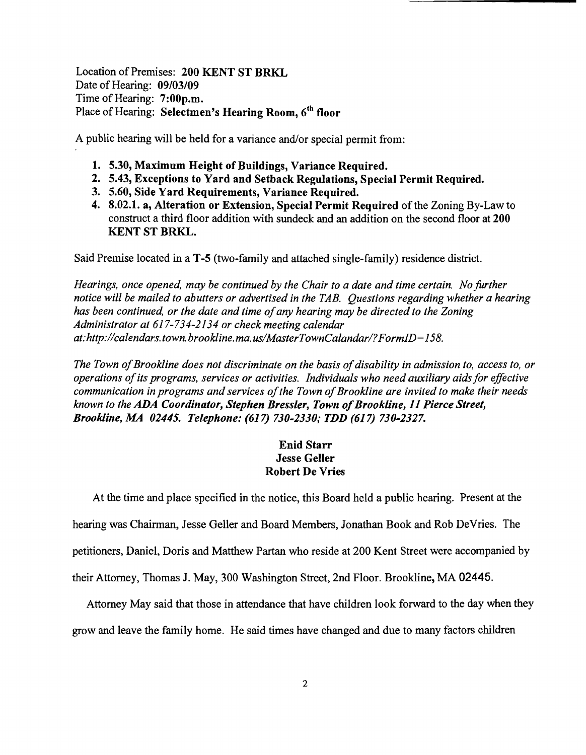Location of Premises: 200 KENT ST BRKL Date of Hearing: 09/03/09 Time of Hearing: 7:00p.m. Place of Hearing: Selectmen's Hearing Room, 6<sup>th</sup> floor

A public hearing will be held for a variance and/or special permit from:

- 1. 5.30, Maximum Height of Buildings, Variance Required.
- 2. 5.43, Exceptions to Yard and Setback Regulations, Special Permit Required.
- 3. 5.60, Side Yard Requirements, Variance Required.
- 4. 8.02.1. a, Alteration or Extension, Special Permit Required of the Zoning By-Law to construct a third floor addition with sundeck and an addition on the second floor at 200 KENT ST BRKL.

Said Premise located in a T-5 (two-family and attached single-family) residence district.

*Hearings, once opened, may be continued by the Chair to a date and time certain. No further notice will be mailed to abutters or advertised in the TAB. Questions regarding whether a hearing has been continued, or the date and time ofany hearing may be directed to the Zoning Administrator at* 617-734-2134 *or check meeting calendar at:http://calendars.town.brookline.ma.usIMasterTownCalandarl?FormID= 158.* 

The Town of Brookline does not discriminate on the basis of disability in admission to, access to, or *operations ofits programs, services or activities. Individuals who need auxiliary aidsfor effective communication in programs and services of the Town of Brookline are invited to make their needs known to the* ADA *Coordinator, Stephen Bressler, Town ofBrookline,* 11 *Pierce Street, Brookline, MA 02445. Telephone:* (617) *730-2330; TDD* (617) *730-2327.* 

## Enid Starr Jesse Geller Robert De Vries

At the time and place specified in the notice, this Board held a public hearing. Present at the hearing was Chairman, Jesse Geller and Board Members, Jonathan Book and Rob DeVries. The petitioners, Daniel, Doris and Matthew Partan who reside at 200 Kent Street were accompanied by their Attorney, Thomas J. May, 300 Washington Street, 2nd Floor. Brookline, MA 02445.

Attorney May said that those in attendance that have children look forward to the day when they grow and leave the family home. He said times have changed and due to many factors children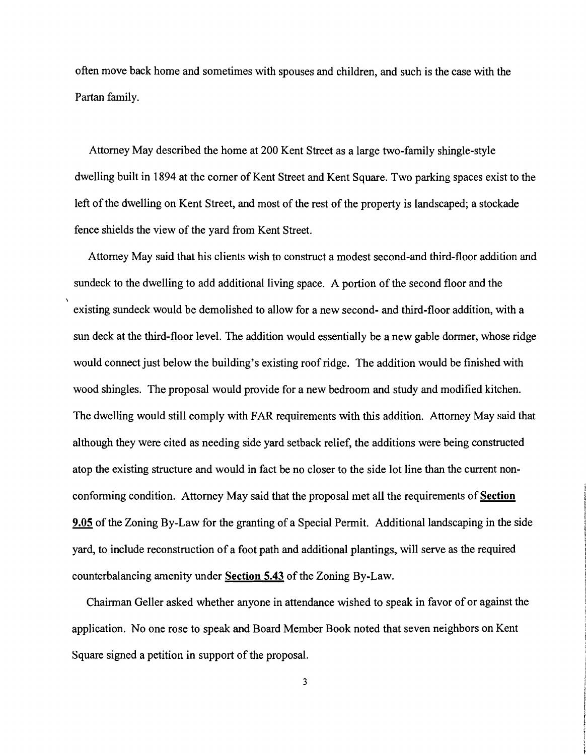often move back home and sometimes with spouses and children, and such is the case with the Partan family.

Attorney May described the home at 200 Kent Street as a large two-family shingle-style dwelling built in 1894 at the comer of Kent Street and Kent Square. Two parking spaces exist to the left of the dwelling on Kent Street, and most of the rest of the property is landscaped; a stockade fence shields the view of the yard from Kent Street.

Attorney May said that his clients wish to construct a modest second-and third-floor addition and sundeck to the dwelling to add additional living space. A portion of the second floor and the existing sundeck would be demolished to allow for a new second- and third-floor addition, with a sun deck at the third-floor level. The addition would essentially be a new gable dormer, whose ridge would connect just below the building's existing roof ridge. The addition would be finished with wood shingles. The proposal would provide for a new bedroom and study and modified kitchen. The dwelling would still comply with FAR requirements with this addition. Attorney May said that although they were cited as needing side yard setback relief, the additions were being constructed atop the existing structure and would in fact be no closer to the side lot line than the current nonconforming condition. Attorney May said that the proposal met all the requirements of **Section 9.05** of the Zoning By-Law for the granting of a Special Permit. Additional landscaping in the side yard, to include reconstruction of a foot path and additional plantings, will serve as the required counterbalancing amenity under **Section 5.43** of the Zoning By-Law.

Chairman Geller asked whether anyone in attendance wished to speak in favor of or against the application. No one rose to speak and Board Member Book noted that seven neighbors on Kent Square signed a petition in support of the proposal.

3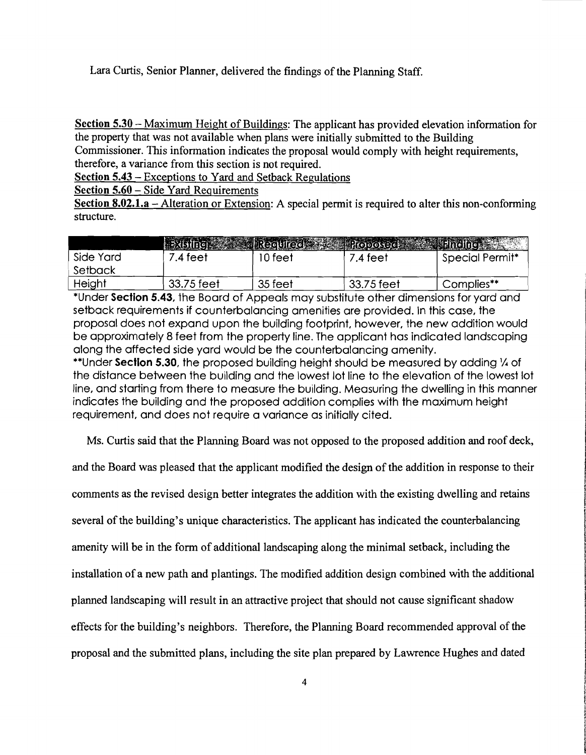Lara Curtis, Senior Planner, delivered the findings of the Planning Staff.

Section 5.30 – Maximum Height of Buildings: The applicant has provided elevation information for the property that was not available when plans were initially submitted to the Building

Commissioner. This information indicates the proposal would comply with height requirements, therefore, a variance from this section is not required.

Section 5.43 – Exceptions to Yard and Setback Regulations

Section 5.60 – Side Yard Requirements

Section 8.02.1.a – Alteration or Extension: A special permit is required to alter this non-conforming structure.

|           |            |         | Existing Regulied Proposed A Linding |                             |
|-----------|------------|---------|--------------------------------------|-----------------------------|
| Side Yard | .4 feet    | 0 feet  | 7.4 teet                             | Special Permit <sup>*</sup> |
| Setback   |            |         |                                      |                             |
| Height    | 33.75 feet | 35 feet | 33.75 feet                           | Complies**                  |

\*Under Section 5.43, the Board of Appeals may substitute other dimensions for yard and setback requirements if counterbalancing amenities are provided. In this case, the proposal does not expand upon the building footprint. however, the new addition would be approximately 8 feet from the property line. The applicant has indicated landscaping along the affected side yard would be the counterbalancing amenity.

\*\*Under Section 5.30, the proposed building height should be measured by adding 1/4 of the distance between the building and the lowest lot line to the elevation of the lowest lot line, and starting from there to measure the building. Measuring the dwelling in this manner indicates the building and the proposed addition complies with the maximum height requirement. and does not require a variance as initially cited.

Ms. Curtis said that the Planning Board was not opposed to the proposed addition and roof deck,

and the Board was pleased that the applicant modified the design of the addition in response to their

comments as the revised design better integrates the addition with the existing dwelling and retains

several of the building's unique characteristics. The applicant has indicated the counterbalancing

amenity will be in the form of additional landscaping along the minimal setback, including the

installation of a new path and plantings. The modified addition design combined with the additional

planned landscaping will result in an attractive project that should not cause significant shadow

effects for the building's neighbors. Therefore, the Planning Board recommended approval of the

proposal and the submitted plans, including the site plan prepared by Lawrence Hughes and dated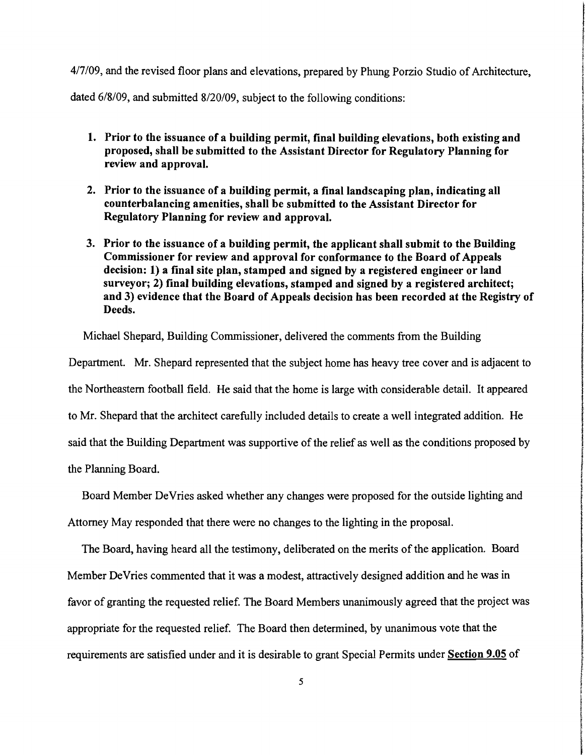4/7/09, and the revised floor plans and elevations, prepared by Phung Porzio Studio of Architecture, dated 6/8/09, and submitted 8/20/09, subject to the following conditions:

- 1. Prior to the issuance of a building permit, final building elevations, both existing and proposed, shall be submitted to the Assistant Director for Regulatory Planning for review and approval.
- 2. Prior to the issuance of a building permit, a final landscaping plan, indicating all counterbalancing amenities, shall be submitted to the Assistant Director for Regulatory Planning for review and approval.
- 3. Prior to the issuance of a building permit, the applicant shall submit to the Building Commissioner for review and approval for conformance to the Board of Appeals decision: 1) a final site plan, stamped and signed by a registered engineer or land surveyor; 2) final building elevations, stamped and signed by a registered architect; and 3) evidence that the Board of Appeals decision has been recorded at the Registry of Deeds.

Michael Shepard, Building Commissioner, delivered the comments from the Building

Department. Mr. Shepard represented that the subject home has heavy tree cover and is adjacent to the Northeastern football field. He said that the home is large with considerable detail. It appeared to Mr. Shepard that the architect carefully included details to create a well integrated addition. He said that the Building Department was supportive of the relief as well as the conditions proposed by the Planning Board.

the fact and complete

**International Content Contents** 

Board Member DeVries asked whether any changes were proposed for the outside lighting and Attorney May responded that there were no changes to the lighting in the proposal.

favor of granting the requested relief. The Board Members unanimously agreed that the project was appropriate for the requested relief. The Board then determined, by unanimous vote that the appropriate for the requested relief. The Board then determined, by unanimous vote that the<br>requirements are satisfied under and it is desirable to grant Special Permits under **Section 9.05** of requirements are satisfied under and it is desirable to grant Special Permits under **Section 9.05** of<br>5 The Board, having heard all the testimony, deliberated on the merits of the application. Board Member DeVries commented that it was a modest, attractively designed addition and he was in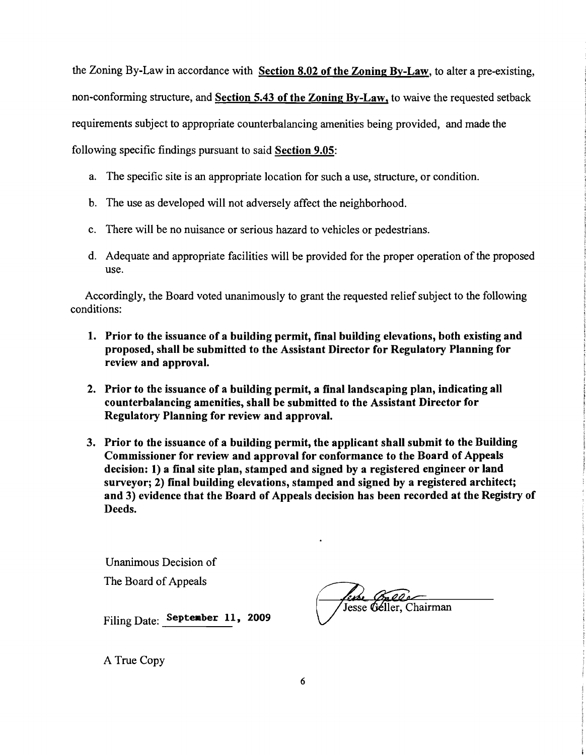the Zoning By-Law in accordance with Section 8.02 of the Zoning By-Law, to alter a pre-existing, non-conforming structure, and Section 5.43 of the Zoning By-Law, to waive the requested setback requirements subject to appropriate counterbalancing amenities being provided, and made the following specific findings pursuant to said Section 9.05:

- a. The specific site is an appropriate location for such a use, structure, or condition.
- b. The use as developed will not adversely affect the neighborhood.
- c. There will be no nuisance or serious hazard to vehicles or pedestrians.
- d. Adequate and appropriate facilities will be provided for the proper operation of the proposed use.

Accordingly, the Board voted unanimously to grant the requested relief subject to the following conditions:

- 1. Prior to the issuance of a building permit, final building elevations, both existing and proposed, shall be submitted to the Assistant Director for Regulatory Planning for review and approval.
- 2. Prior to the issuance of a building permit, a final landscaping plan, indicating all counterbalancing amenities, shall be submitted to the Assistant Director for Regulatory Planning for review and approval.
- 3. Prior to the issuance of a building permit, the applicant shall submit to the Building Commissioner for review and approval for conformance to the Board of Appeals decision: 1) a final site plan, stamped and signed by a registered engineer or land surveyor; 2) final building elevations, stamped and signed by a registered architect; and 3) evidence that the Board of Appeals decision has been recorded at the Registry of Deeds.

Unanimous Decision of The Board of Appeals

Filing Date: Septeaber 11, 2009

Jesse Geller, Chairman

A True Copy